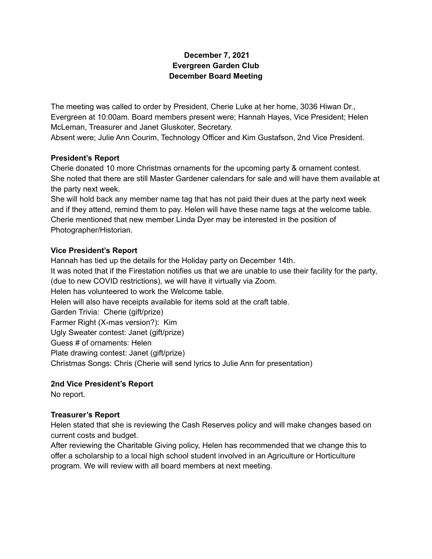#### **December 7, 2021 Evergreen Garden Club December Board Meeting**

The meeting was called to order by President, Cherie Luke at her home, 3036 Hiwan Dr., Evergreen at 10:00am. Board members present were; Hannah Hayes, Vice President; Helen McLeman, Treasurer and Janet Gluskoter, Secretary.

Absent were; Julie Ann Courim, Technology Officer and Kim Gustafson, 2nd Vice President.

### **President's Report**

Cherie donated 10 more Christmas ornaments for the upcoming party & ornament contest. She noted that there are still Master Gardener calendars for sale and will have them available at the party next week.

She will hold back any member name tag that has not paid their dues at the party next week and if they attend, remind them to pay. Helen will have these name tags at the welcome table. Cherie mentioned that new member Linda Dyer may be interested in the position of Photographer/Historian.

# **Vice President's Report**

Hannah has tied up the details for the Holiday party on December 14th. It was noted that if the Firestation notifies us that we are unable to use their facility for the party, (due to new COVID restrictions), we will have it virtually via Zoom. Helen has volunteered to work the Welcome table. Helen will also have receipts available for items sold at the craft table. Garden Trivia: Cherie (gift/prize) Farmer Right (X-mas version?): Kim Ugly Sweater contest: Janet (gift/prize) Guess # of ornaments: Helen Plate drawing contest: Janet (gift/prize) Christmas Songs: Chris (Cherie will send lyrics to Julie Ann for presentation)

# **2nd Vice President's Report**

No report.

# **Treasurer's Report**

Helen stated that she is reviewing the Cash Reserves policy and will make changes based on current costs and budget.

After reviewing the Charitable Giving policy, Helen has recommended that we change this to offer a scholarship to a local high school student involved in an Agriculture or Horticulture program. We will review with all board members at next meeting.